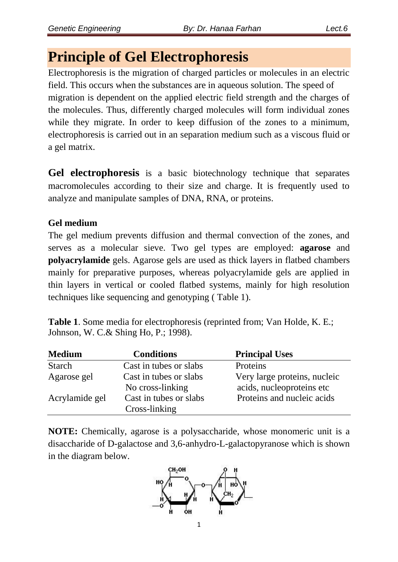# **Principle of Gel Electrophoresis**

Electrophoresis is the migration of charged particles or molecules in an electric field. This occurs when the substances are in aqueous solution. The speed of migration is dependent on the applied electric field strength and the charges of the molecules. Thus, differently charged molecules will form individual zones while they migrate. In order to keep diffusion of the zones to a minimum, electrophoresis is carried out in an separation medium such as a viscous fluid or a gel matrix.

**Gel electrophoresis** is a basic biotechnology technique that separates macromolecules according to their size and charge. It is frequently used to analyze and manipulate samples of DNA, RNA, or proteins.

## **Gel medium**

The gel medium prevents diffusion and thermal convection of the zones, and serves as a molecular sieve. Two gel types are employed: **agarose** and **polyacrylamide** gels. Agarose gels are used as thick layers in flatbed chambers mainly for preparative purposes, whereas polyacrylamide gels are applied in thin layers in vertical or cooled flatbed systems, mainly for high resolution techniques like sequencing and genotyping ( Table 1).

**Table 1**. Some media for electrophoresis (reprinted from; Van Holde, K. E.; Johnson, W. C.& Shing Ho, P.; 1998).

| <b>Medium</b>  | <b>Conditions</b>                          | <b>Principal Uses</b>                                     |
|----------------|--------------------------------------------|-----------------------------------------------------------|
| <b>Starch</b>  | Cast in tubes or slabs                     | Proteins                                                  |
| Agarose gel    | Cast in tubes or slabs<br>No cross-linking | Very large proteins, nucleic<br>acids, nucleoproteins etc |
| Acrylamide gel | Cast in tubes or slabs<br>Cross-linking    | Proteins and nucleic acids                                |

**NOTE:** Chemically, agarose is a polysaccharide, whose monomeric unit is a disaccharide of D-galactose and 3,6-anhydro-L-galactopyranose which is shown in the diagram below.

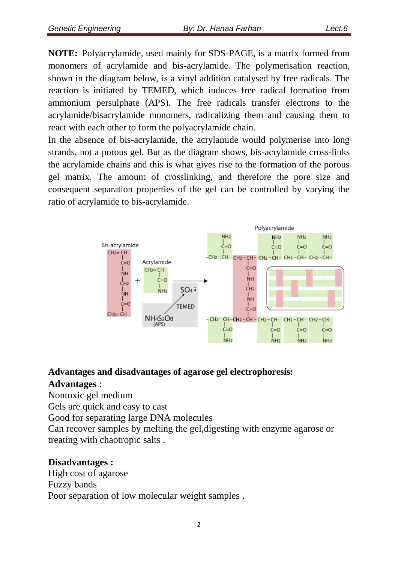**NOTE:** Polyacrylamide, used mainly for SDS-PAGE, is a matrix formed from monomers of acrylamide and bis-acrylamide. The polymerisation reaction, shown in the diagram below, is a vinyl addition catalysed by free radicals. The reaction is initiated by TEMED, which induces free radical formation from ammonium persulphate (APS). The free radicals transfer electrons to the acrylamide/bisacrylamide monomers, radicalizing them and causing them to react with each other to form the polyacrylamide chain.

In the absence of bis-acrylamide, the acrylamide would polymerise into long strands, not a porous gel. But as the diagram shows, bis-acrylamide cross-links the acrylamide chains and this is what gives rise to the formation of the porous gel matrix. The amount of crosslinking, and therefore the pore size and consequent separation properties of the gel can be controlled by varying the ratio of acrylamide to bis-acrylamide.



### **Advantages and disadvantages of agarose gel electrophoresis:**

### **Advantages** :

Nontoxic gel medium

Gels are quick and easy to cast

Good for separating large DNA molecules

Can recover samples by melting the gel,digesting with enzyme agarose or treating with chaotropic salts .

## **Disadvantages :**

High cost of agarose Fuzzy bands Poor separation of low molecular weight samples .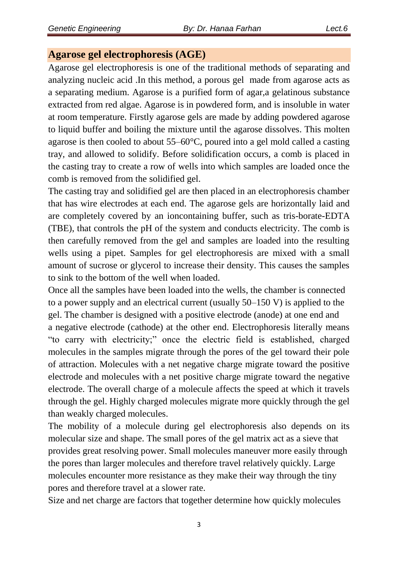### **Agarose gel electrophoresis (AGE)**

Agarose gel electrophoresis is one of the traditional methods of separating and analyzing nucleic acid .In this method, a porous gel made from agarose acts as a separating medium. Agarose is a purified form of agar,a gelatinous substance extracted from red algae. Agarose is in powdered form, and is insoluble in water at room temperature. Firstly agarose gels are made by adding powdered agarose to liquid buffer and boiling the mixture until the agarose dissolves. This molten agarose is then cooled to about 55–60°C, poured into a gel mold called a casting tray, and allowed to solidify. Before solidification occurs, a comb is placed in the casting tray to create a row of wells into which samples are loaded once the comb is removed from the solidified gel.

The casting tray and solidified gel are then placed in an electrophoresis chamber that has wire electrodes at each end. The agarose gels are horizontally laid and are completely covered by an ioncontaining buffer, such as tris-borate-EDTA (TBE), that controls the pH of the system and conducts electricity. The comb is then carefully removed from the gel and samples are loaded into the resulting wells using a pipet. Samples for gel electrophoresis are mixed with a small amount of sucrose or glycerol to increase their density. This causes the samples to sink to the bottom of the well when loaded.

Once all the samples have been loaded into the wells, the chamber is connected to a power supply and an electrical current (usually 50–150 V) is applied to the gel. The chamber is designed with a positive electrode (anode) at one end and a negative electrode (cathode) at the other end. Electrophoresis literally means ―to carry with electricity;‖ once the electric field is established, charged molecules in the samples migrate through the pores of the gel toward their pole of attraction. Molecules with a net negative charge migrate toward the positive electrode and molecules with a net positive charge migrate toward the negative electrode. The overall charge of a molecule affects the speed at which it travels through the gel. Highly charged molecules migrate more quickly through the gel than weakly charged molecules.

The mobility of a molecule during gel electrophoresis also depends on its molecular size and shape. The small pores of the gel matrix act as a sieve that provides great resolving power. Small molecules maneuver more easily through the pores than larger molecules and therefore travel relatively quickly. Large molecules encounter more resistance as they make their way through the tiny pores and therefore travel at a slower rate.

Size and net charge are factors that together determine how quickly molecules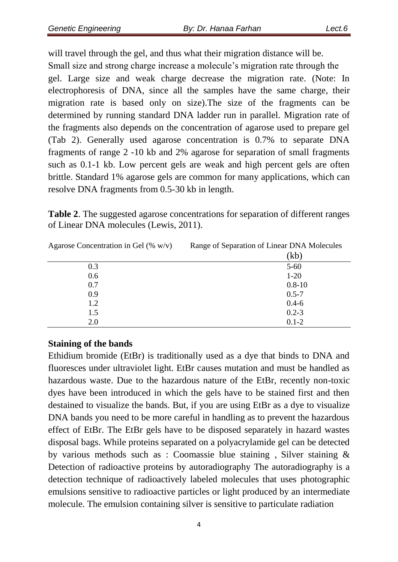will travel through the gel, and thus what their migration distance will be. Small size and strong charge increase a molecule's migration rate through the gel. Large size and weak charge decrease the migration rate. (Note: In electrophoresis of DNA, since all the samples have the same charge, their migration rate is based only on size).The size of the fragments can be determined by running standard DNA ladder run in parallel. Migration rate of the fragments also depends on the concentration of agarose used to prepare gel (Tab 2). Generally used agarose concentration is 0.7% to separate DNA fragments of range 2 -10 kb and 2% agarose for separation of small fragments such as 0.1-1 kb. Low percent gels are weak and high percent gels are often brittle. Standard 1% agarose gels are common for many applications, which can resolve DNA fragments from 0.5-30 kb in length.

**Table 2**. The suggested agarose concentrations for separation of different ranges of Linear DNA molecules (Lewis, 2011).

| Agarose Concentration in Gel $(\% w/v)$ | Range of Separation of Linear DNA Molecules |  |
|-----------------------------------------|---------------------------------------------|--|
|                                         | (kb)                                        |  |
| 0.3                                     | $5 - 60$                                    |  |
| 0.6                                     | $1 - 20$                                    |  |
| 0.7                                     | $0.8 - 10$                                  |  |
| 0.9                                     | $0.5 - 7$                                   |  |
| 1.2                                     | $0.4 - 6$                                   |  |
| 1.5                                     | $0.2 - 3$                                   |  |
| 2.0                                     | $0.1 - 2$                                   |  |

#### **Staining of the bands**

Ethidium bromide (EtBr) is traditionally used as a dye that binds to DNA and fluoresces under ultraviolet light. EtBr causes mutation and must be handled as hazardous waste. Due to the hazardous nature of the EtBr, recently non-toxic dyes have been introduced in which the gels have to be stained first and then destained to visualize the bands. But, if you are using EtBr as a dye to visualize DNA bands you need to be more careful in handling as to prevent the hazardous effect of EtBr. The EtBr gels have to be disposed separately in hazard wastes disposal bags. While proteins separated on a polyacrylamide gel can be detected by various methods such as : Coomassie blue staining , Silver staining & Detection of radioactive proteins by autoradiography The autoradiography is a detection technique of radioactively labeled molecules that uses photographic emulsions sensitive to radioactive particles or light produced by an intermediate molecule. The emulsion containing silver is sensitive to particulate radiation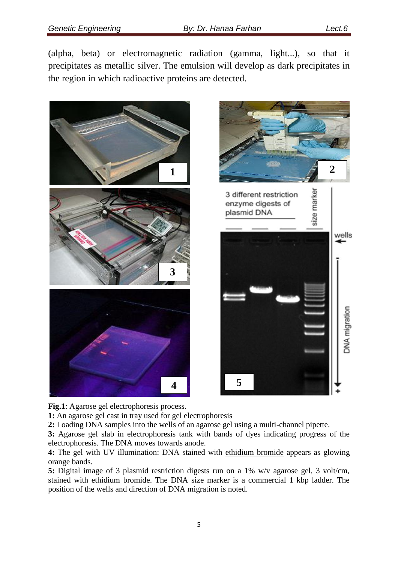(alpha, beta) or electromagnetic radiation (gamma, light...), so that it precipitates as metallic silver. The emulsion will develop as dark precipitates in the region in which radioactive proteins are detected.





**Fig.1**: Agarose gel electrophoresis process.

**1:** An agarose gel cast in tray used for gel electrophoresis

**2:** Loading DNA samples into the wells of an agarose gel using a multi-channel pipette.

**3:** Agarose gel slab in electrophoresis tank with bands of dyes indicating progress of the electrophoresis. The DNA moves towards anode.

**4:** The gel with UV illumination: DNA stained with [ethidium bromide](https://en.wikipedia.org/wiki/Ethidium_bromide) appears as glowing orange bands.

**5:** Digital image of 3 plasmid restriction digests run on a 1% w/v agarose gel, 3 volt/cm, stained with ethidium bromide. The DNA size marker is a commercial 1 kbp ladder. The position of the wells and direction of DNA migration is noted.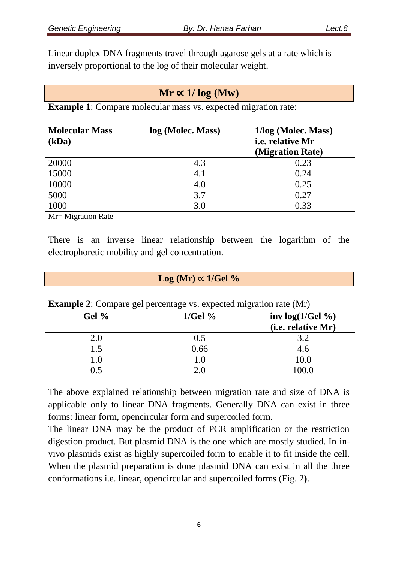Linear duplex DNA fragments travel through agarose gels at a rate which is inversely proportional to the log of their molecular weight.

| $Mr \propto 1/\log(Mw)$<br><b>Example 1:</b> Compare molecular mass vs. expected migration rate: |     |      |  |  |
|--------------------------------------------------------------------------------------------------|-----|------|--|--|
|                                                                                                  |     |      |  |  |
| 20000                                                                                            | 4.3 | 0.23 |  |  |
| 15000                                                                                            | 4.1 | 0.24 |  |  |

| 15000 | 4.1 | 0.24 |
|-------|-----|------|
| 10000 | 4.0 | 0.25 |
| 5000  | 3.7 | 0.27 |
| 1000  | 3.0 | 0.33 |

Mr= Migration Rate

There is an inverse linear relationship between the logarithm of the electrophoretic mobility and gel concentration.

| $Log (Mr) \propto 1/ Gel \%$                                              |           |                            |  |  |
|---------------------------------------------------------------------------|-----------|----------------------------|--|--|
| <b>Example 2:</b> Compare gel percentage vs. expected migration rate (Mr) |           |                            |  |  |
| Gel $%$                                                                   | $1/Gel\%$ | inv $log(1/\text{Ge}l \%)$ |  |  |
|                                                                           |           | (i.e. relative Mr)         |  |  |
| 2.0                                                                       | 0.5       | 3.2                        |  |  |
| 1.5                                                                       | 0.66      | 4.6                        |  |  |
| 1.0                                                                       | 1.0       | 10.0                       |  |  |
| 0.5                                                                       | 2.0       | 100.0                      |  |  |

The above explained relationship between migration rate and size of DNA is applicable only to linear DNA fragments. Generally DNA can exist in three forms: linear form, opencircular form and supercoiled form.

The linear DNA may be the product of PCR amplification or the restriction digestion product. But plasmid DNA is the one which are mostly studied. In invivo plasmids exist as highly supercoiled form to enable it to fit inside the cell. When the plasmid preparation is done plasmid DNA can exist in all the three conformations i.e. linear, opencircular and supercoiled forms (Fig. 2**)**.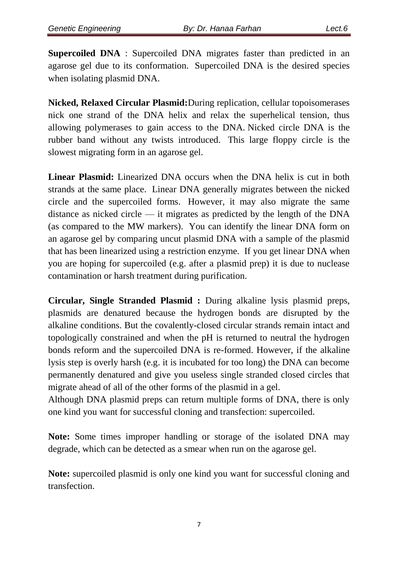**Supercoiled DNA** : Supercoiled DNA migrates faster than predicted in an agarose gel due to its conformation. Supercoiled DNA is the desired species when isolating plasmid DNA.

**Nicked, Relaxed Circular Plasmid:**During replication, cellular topoisomerases nick one strand of the DNA helix and relax the superhelical tension, thus allowing polymerases to gain access to the DNA. Nicked circle DNA is the rubber band without any twists introduced. This large floppy circle is the slowest migrating form in an agarose gel.

**Linear Plasmid:** Linearized DNA occurs when the DNA helix is cut in both strands at the same place. Linear DNA generally migrates between the nicked circle and the supercoiled forms. However, it may also migrate the same distance as nicked circle — it migrates as predicted by the length of the DNA (as compared to the MW markers). You can identify the linear DNA form on an agarose gel by comparing uncut plasmid DNA with a sample of the plasmid that has been linearized using a restriction enzyme. If you get linear DNA when you are hoping for supercoiled (e.g. after a plasmid prep) it is due to nuclease contamination or harsh treatment during purification.

**Circular, Single Stranded Plasmid :** During alkaline lysis plasmid preps, plasmids are denatured because the hydrogen bonds are disrupted by the alkaline conditions. But the covalently-closed circular strands remain intact and topologically constrained and when the pH is returned to neutral the hydrogen bonds reform and the supercoiled DNA is re-formed. However, if the [alkaline](https://bitesizebio.com/articles/the-basics-how-alkaline-lysis-works/)  [lysis](https://bitesizebio.com/articles/the-basics-how-alkaline-lysis-works/) step is overly harsh (e.g. it is incubated for too long) the DNA can become permanently denatured and give you useless single stranded closed circles that migrate ahead of all of the other forms of the plasmid in a gel.

Although DNA plasmid preps can return multiple forms of DNA, there is only one kind you want for successful cloning and transfection: supercoiled.

**Note:** Some times improper handling or storage of the isolated DNA may degrade, which can be detected as a smear when run on the agarose gel.

**Note:** supercoiled plasmid is only one kind you want for successful cloning and transfection.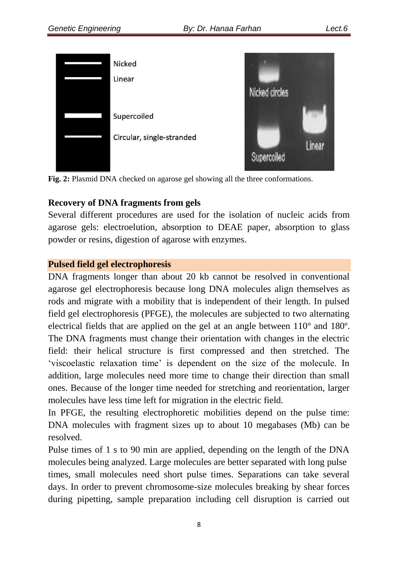

**Fig. 2:** Plasmid DNA checked on agarose gel showing all the three conformations.

### **Recovery of DNA fragments from gels**

Several different procedures are used for the isolation of nucleic acids from agarose gels: electroelution, absorption to DEAE paper, absorption to glass powder or resins, digestion of agarose with enzymes.

### **Pulsed field gel electrophoresis**

DNA fragments longer than about 20 kb cannot be resolved in conventional agarose gel electrophoresis because long DNA molecules align themselves as rods and migrate with a mobility that is independent of their length. In pulsed field gel electrophoresis (PFGE), the molecules are subjected to two alternating electrical fields that are applied on the gel at an angle between 110º and 180º. The DNA fragments must change their orientation with changes in the electric field: their helical structure is first compressed and then stretched. The ‗viscoelastic relaxation time' is dependent on the size of the molecule. In addition, large molecules need more time to change their direction than small ones. Because of the longer time needed for stretching and reorientation, larger molecules have less time left for migration in the electric field.

In PFGE, the resulting electrophoretic mobilities depend on the pulse time: DNA molecules with fragment sizes up to about 10 megabases (Mb) can be resolved.

Pulse times of 1 s to 90 min are applied, depending on the length of the DNA molecules being analyzed. Large molecules are better separated with long pulse times, small molecules need short pulse times. Separations can take several days. In order to prevent chromosome-size molecules breaking by shear forces during pipetting, sample preparation including cell disruption is carried out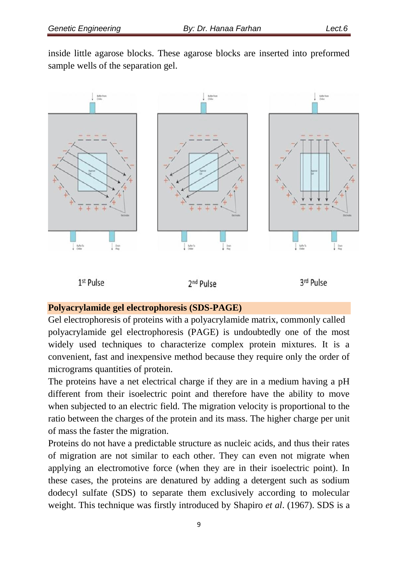inside little agarose blocks. These agarose blocks are inserted into preformed sample wells of the separation gel.



#### **Polyacrylamide gel electrophoresis (SDS-PAGE)**

Gel electrophoresis of proteins with a polyacrylamide matrix, commonly called polyacrylamide gel electrophoresis (PAGE) is undoubtedly one of the most widely used techniques to characterize complex protein mixtures. It is a convenient, fast and inexpensive method because they require only the order of micrograms quantities of protein.

The proteins have a net electrical charge if they are in a medium having a pH different from their isoelectric point and therefore have the ability to move when subjected to an electric field. The migration velocity is proportional to the ratio between the charges of the protein and its mass. The higher charge per unit of mass the faster the migration.

Proteins do not have a predictable structure as nucleic acids, and thus their rates of migration are not similar to each other. They can even not migrate when applying an electromotive force (when they are in their isoelectric point). In these cases, the proteins are denatured by adding a detergent such as sodium dodecyl sulfate (SDS) to separate them exclusively according to molecular weight. This technique was firstly introduced by Shapiro *et al*. (1967). SDS is a